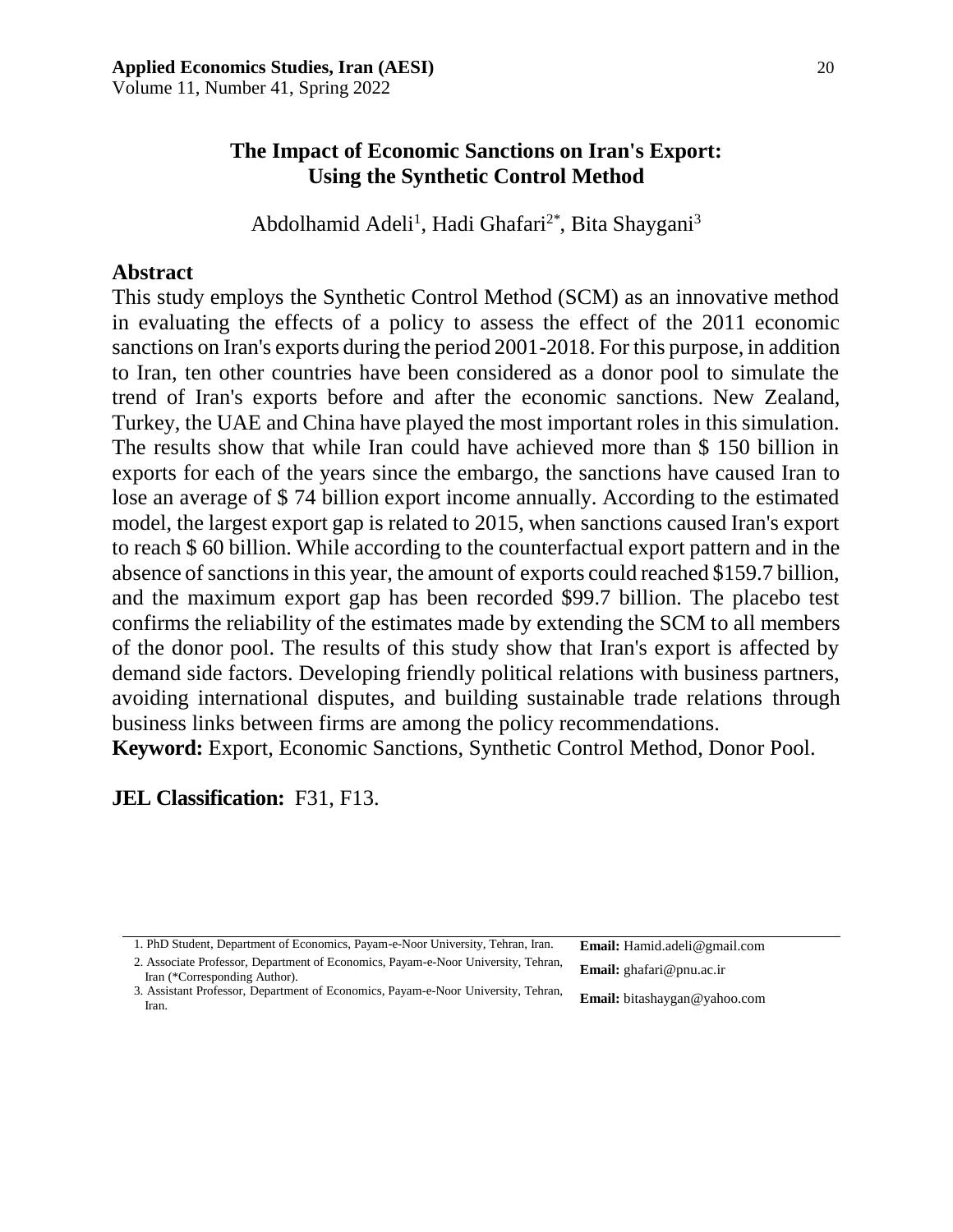## **The Impact of Economic Sanctions on Iran's Export: Using the Synthetic Control Method**

Abdolhamid Adeli<sup>1</sup>, Hadi Ghafari<sup>2\*</sup>, Bita Shaygani<sup>3</sup>

### **Abstract**

This study employs the Synthetic Control Method (SCM) as an innovative method in evaluating the effects of a policy to assess the effect of the 2011 economic sanctions on Iran's exports during the period 2001-2018. For this purpose, in addition to Iran, ten other countries have been considered as a donor pool to simulate the trend of Iran's exports before and after the economic sanctions. New Zealand, Turkey, the UAE and China have played the most important roles in this simulation. The results show that while Iran could have achieved more than \$ 150 billion in exports for each of the years since the embargo, the sanctions have caused Iran to lose an average of \$ 74 billion export income annually. According to the estimated model, the largest export gap is related to 2015, when sanctions caused Iran's export to reach \$ 60 billion. While according to the counterfactual export pattern and in the absence of sanctions in this year, the amount of exports could reached \$159.7 billion, and the maximum export gap has been recorded \$99.7 billion. The placebo test confirms the reliability of the estimates made by extending the SCM to all members of the donor pool. The results of this study show that Iran's export is affected by demand side factors. Developing friendly political relations with business partners, avoiding international disputes, and building sustainable trade relations through business links between firms are among the policy recommendations. **Keyword:** Export, Economic Sanctions, Synthetic Control Method, Donor Pool.

### **JEL Classification:** F31, F13.

<sup>1.</sup> PhD Student, Department of Economics, Payam-e-Noor University, Tehran, Iran. Email: Hamid.adeli@gmail.com

<sup>2.</sup> Associate Professor, Department of Economics, Payam-e-Noor University, Tehran, Email: ghafari@pnu.ac.ir Iran (\*Corresponding Author).

**Email:** bitashaygan@yahoo.com 3. Assistant Professor, Department of Economics, Payam-e-Noor University, Tehran, Iran.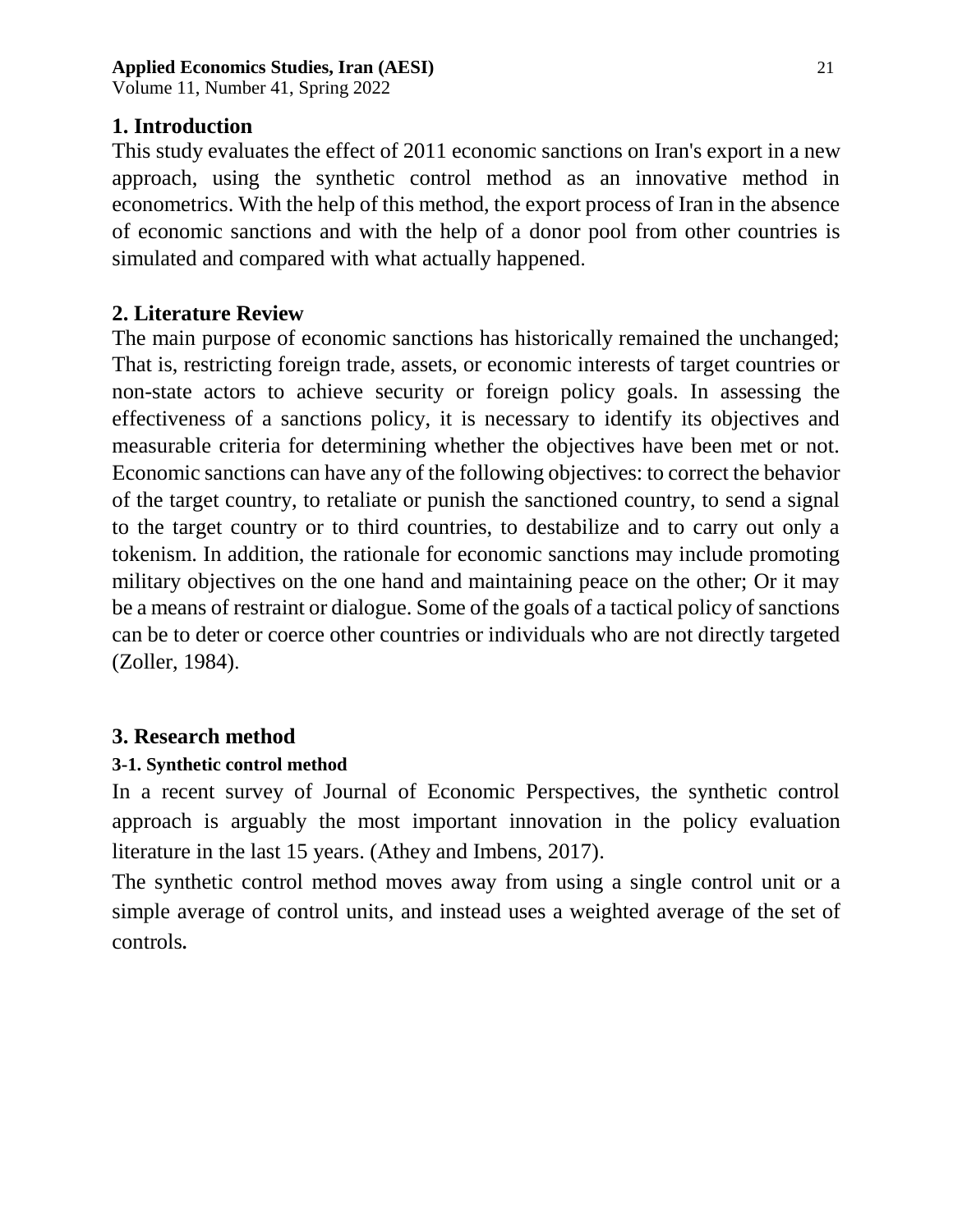Volume 11, Number 41, Spring 2022

## **1. Introduction**

This study evaluates the effect of 2011 economic sanctions on Iran's export in a new approach, using the synthetic control method as an innovative method in econometrics. With the help of this method, the export process of Iran in the absence of economic sanctions and with the help of a donor pool from other countries is simulated and compared with what actually happened.

## **2. Literature Review**

The main purpose of economic sanctions has historically remained the unchanged; That is, restricting foreign trade, assets, or economic interests of target countries or non-state actors to achieve security or foreign policy goals. In assessing the effectiveness of a sanctions policy, it is necessary to identify its objectives and measurable criteria for determining whether the objectives have been met or not. Economic sanctions can have any of the following objectives: to correct the behavior of the target country, to retaliate or punish the sanctioned country, to send a signal to the target country or to third countries, to destabilize and to carry out only a tokenism. In addition, the rationale for economic sanctions may include promoting military objectives on the one hand and maintaining peace on the other; Or it may be a means of restraint or dialogue. Some of the goals of a tactical policy of sanctions can be to deter or coerce other countries or individuals who are not directly targeted (Zoller, 1984).

## **3. Research method**

## **3-1. Synthetic control method**

In a recent survey of Journal of Economic Perspectives, the synthetic control approach is arguably the most important innovation in the policy evaluation literature in the last 15 years. (Athey and Imbens, 2017).

The synthetic control method moves away from using a single control unit or a simple average of control units, and instead uses a weighted average of the set of controls**.**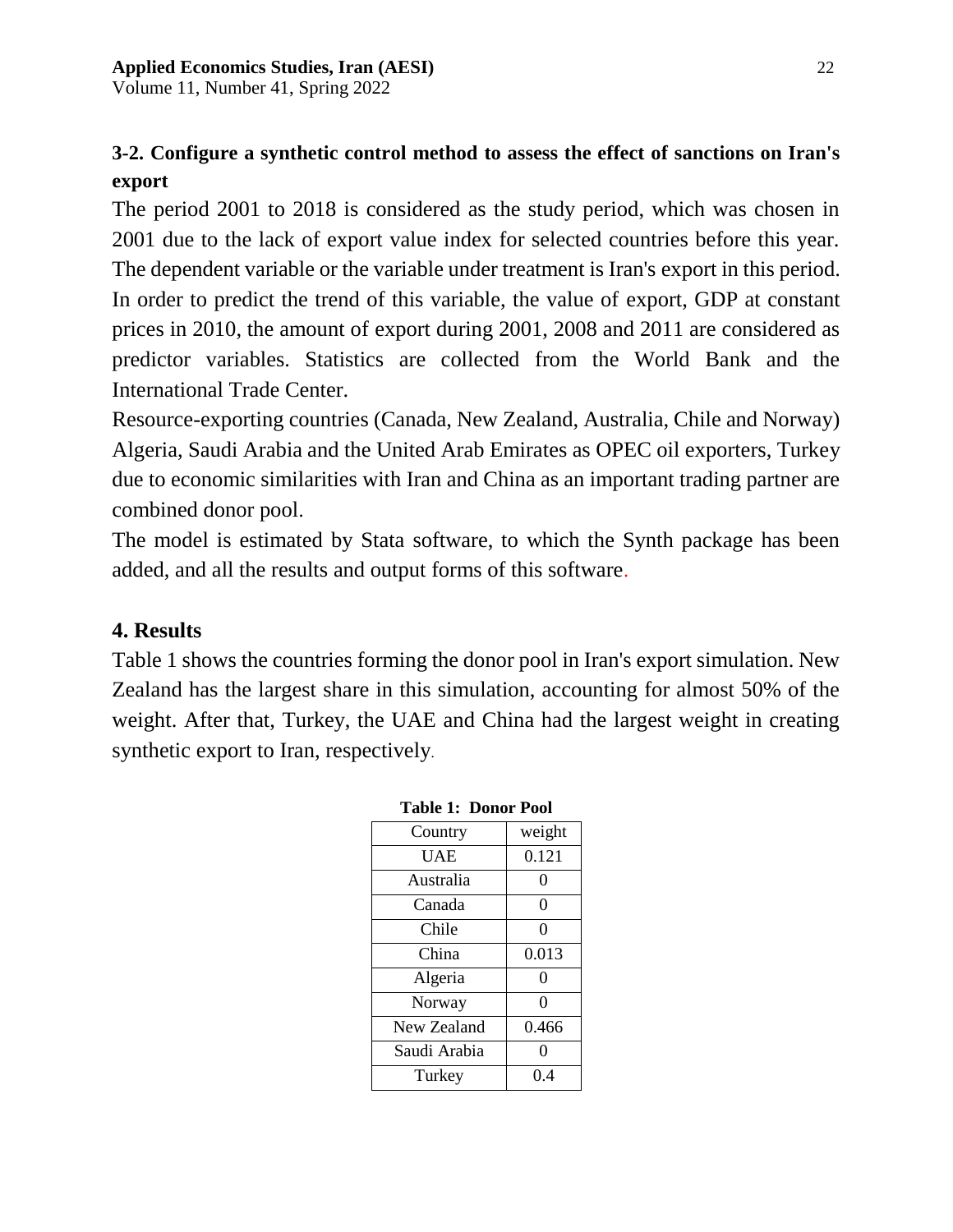Volume 11, Number 41, Spring 2022

# **3-2. Configure a synthetic control method to assess the effect of sanctions on Iran's export**

The period 2001 to 2018 is considered as the study period, which was chosen in 2001 due to the lack of export value index for selected countries before this year. The dependent variable or the variable under treatment is Iran's export in this period. In order to predict the trend of this variable, the value of export, GDP at constant prices in 2010, the amount of export during 2001, 2008 and 2011 are considered as predictor variables. Statistics are collected from the World Bank and the International Trade Center.

Resource-exporting countries (Canada, New Zealand, Australia, Chile and Norway) Algeria, Saudi Arabia and the United Arab Emirates as OPEC oil exporters, Turkey due to economic similarities with Iran and China as an important trading partner are combined donor pool.

The model is estimated by Stata software, to which the Synth package has been added, and all the results and output forms of this software.

## **4. Results**

Table 1 shows the countries forming the donor pool in Iran's export simulation. New Zealand has the largest share in this simulation, accounting for almost 50% of the weight. After that, Turkey, the UAE and China had the largest weight in creating synthetic export to Iran, respectively.

| Table 1: Donor Fool |        |  |
|---------------------|--------|--|
| Country             | weight |  |
| <b>UAE</b>          | 0.121  |  |
| Australia           | 0      |  |
| Canada              | 0      |  |
| Chile               | 0      |  |
| China               | 0.013  |  |
| Algeria             | 0      |  |
| Norway              | 0      |  |
| New Zealand         | 0.466  |  |
| Saudi Arabia        | 0      |  |
| Turkey              | 0.4    |  |

| <b>Table 1: Donor Pool</b> |  |
|----------------------------|--|
|                            |  |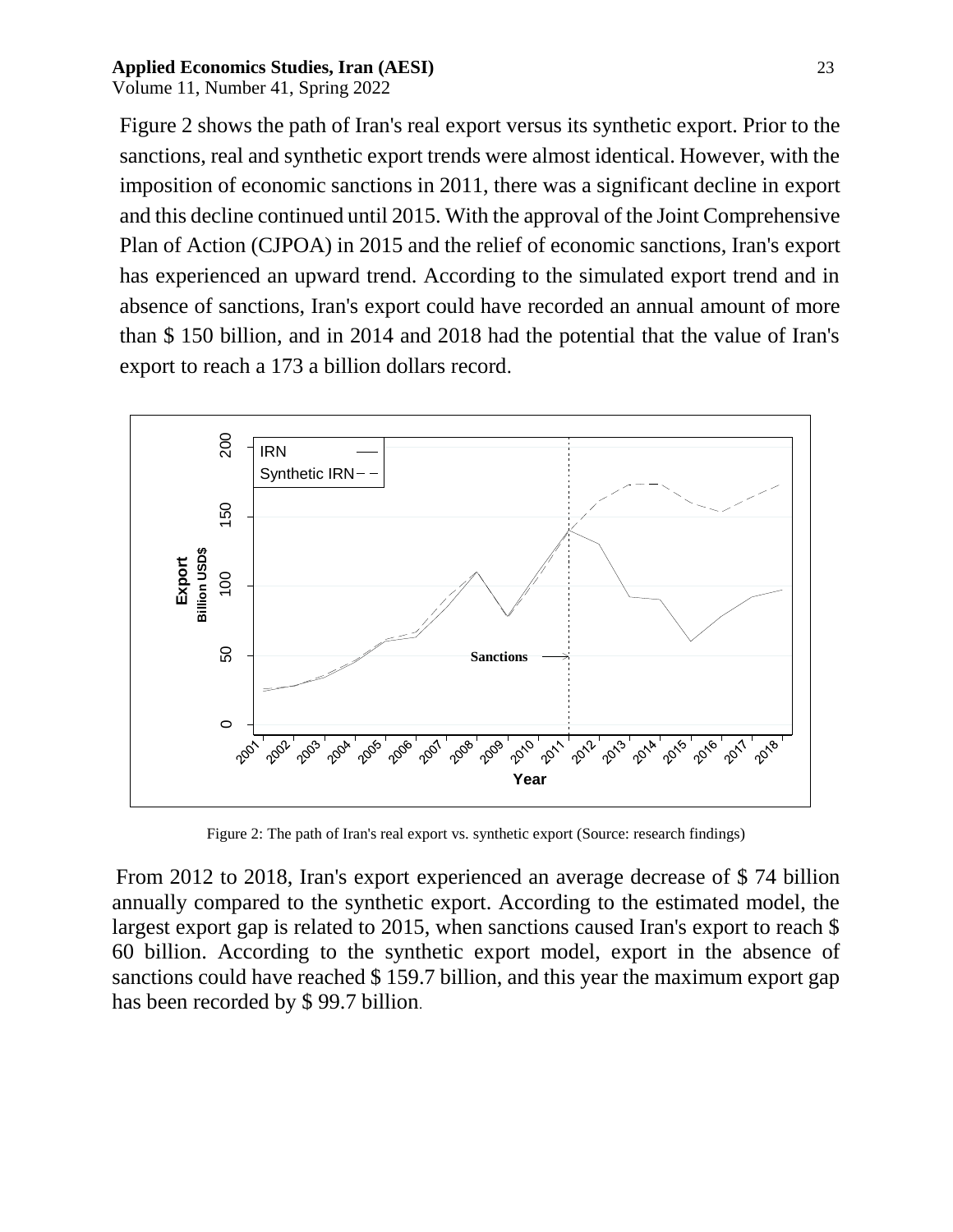Volume 11, Number 41, Spring 2022

Figure 2 shows the path of Iran's real export versus its synthetic export. Prior to the sanctions, real and synthetic export trends were almost identical. However, with the imposition of economic sanctions in 2011, there was a significant decline in export and this decline continued until 2015. With the approval of the Joint Comprehensive Plan of Action (CJPOA) in 2015 and the relief of economic sanctions, Iran's export has experienced an upward trend. According to the simulated export trend and in absence of sanctions, Iran's export could have recorded an annual amount of more than \$ 150 billion, and in 2014 and 2018 had the potential that the value of Iran's export to reach a 173 a billion dollars record.



Figure 2: The path of Iran's real export vs. synthetic export (Source: research findings)

From 2012 to 2018, Iran's export experienced an average decrease of \$ 74 billion annually compared to the synthetic export. According to the estimated model, the largest export gap is related to 2015, when sanctions caused Iran's export to reach \$ 60 billion. According to the synthetic export model, export in the absence of sanctions could have reached \$ 159.7 billion, and this year the maximum export gap has been recorded by \$ 99.7 billion.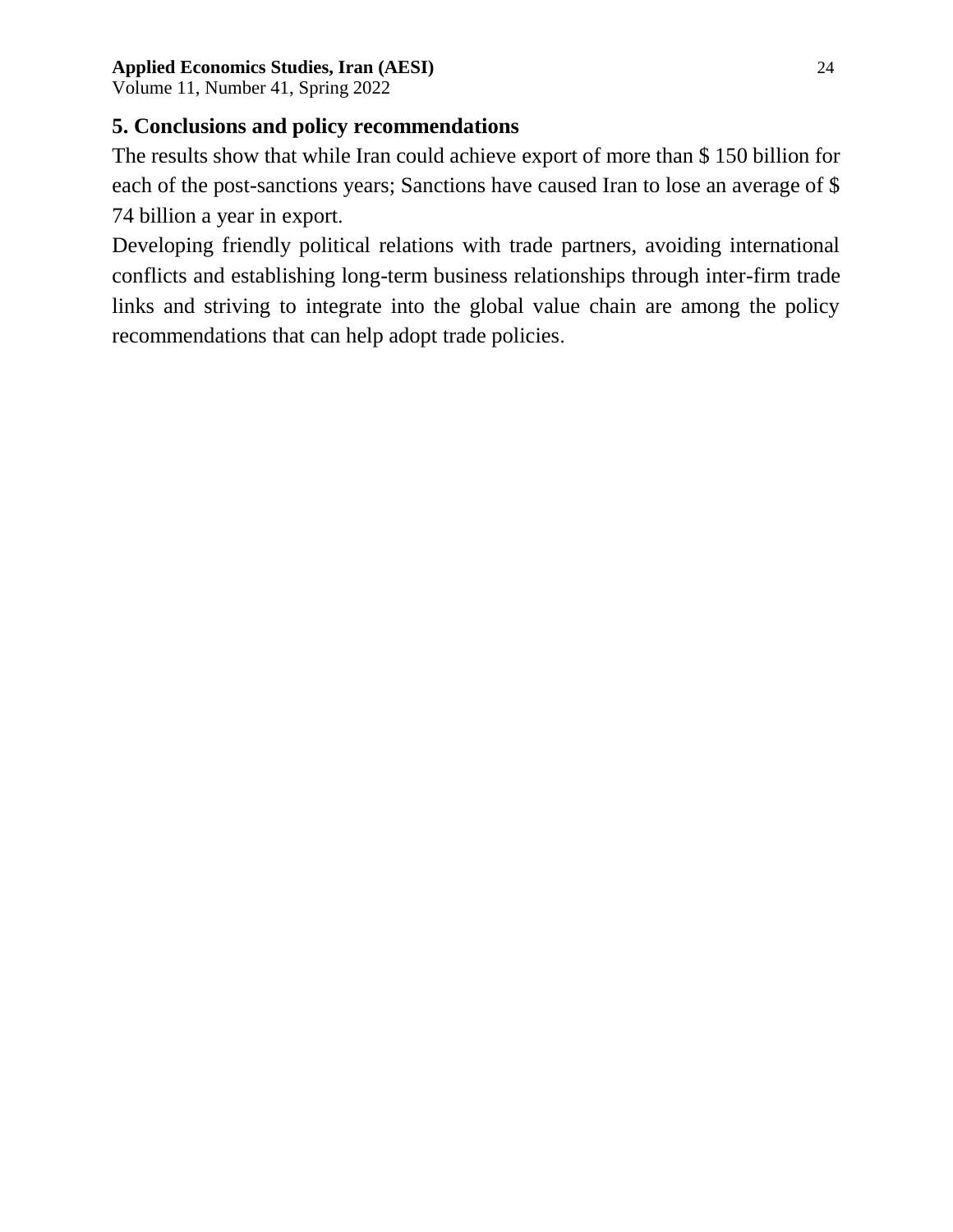Volume 11, Number 41, Spring 2022

# **5. Conclusions and policy recommendations**

The results show that while Iran could achieve export of more than \$ 150 billion for each of the post-sanctions years; Sanctions have caused Iran to lose an average of \$ 74 billion a year in export.

Developing friendly political relations with trade partners, avoiding international conflicts and establishing long-term business relationships through inter-firm trade links and striving to integrate into the global value chain are among the policy recommendations that can help adopt trade policies.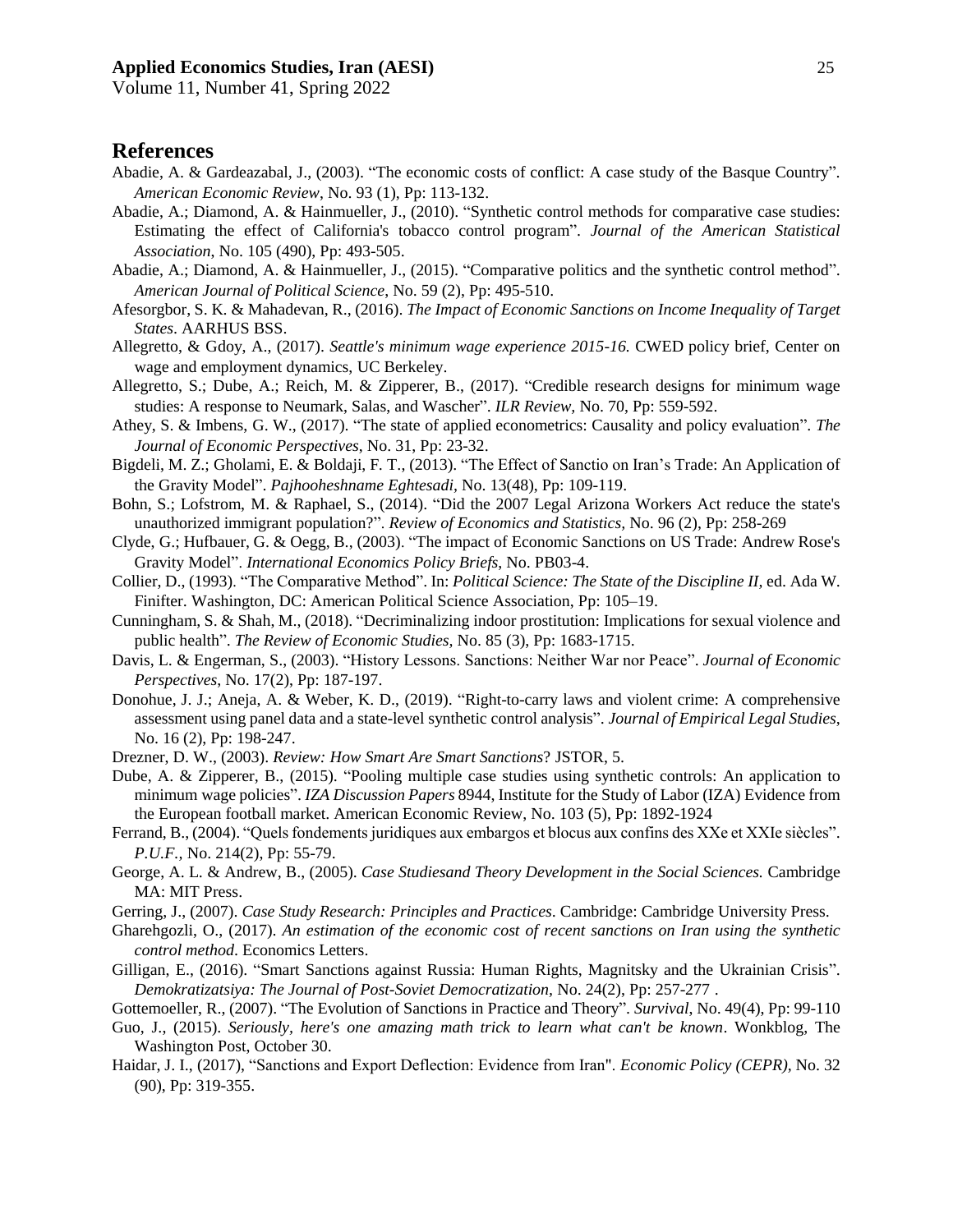Volume 11, Number 41, Spring 2022

#### **References**

- Abadie, A. & Gardeazabal, J., (2003). "The economic costs of conflict: A case study of the Basque Country". *American Economic Review*, No. 93 (1), Pp: 113-132.
- Abadie, A.; Diamond, A. & Hainmueller, J., (2010). "Synthetic control methods for comparative case studies: Estimating the effect of California's tobacco control program". *Journal of the American Statistical Association*, No. 105 (490), Pp: 493-505.
- Abadie, A.; Diamond, A. & Hainmueller, J., (2015). "Comparative politics and the synthetic control method". *American Journal of Political Science*, No. 59 (2), Pp: 495-510.
- Afesorgbor, S. K. & Mahadevan, R., (2016). *The Impact of Economic Sanctions on Income Inequality of Target States*. AARHUS BSS.
- Allegretto, & Gdoy, A., (2017). *Seattle's minimum wage experience 2015-16.* CWED policy brief, Center on wage and employment dynamics, UC Berkeley.
- Allegretto, S.; Dube, A.; Reich, M. & Zipperer, B., (2017). "Credible research designs for minimum wage studies: A response to Neumark, Salas, and Wascher". *ILR Review,* No. 70, Pp: 559-592.
- Athey, S. & Imbens, G. W., (2017). "The state of applied econometrics: Causality and policy evaluation". *The Journal of Economic Perspectives*, No. 31, Pp: 23-32.
- Bigdeli, M. Z.; Gholami, E. & Boldaji, F. T., (2013). "The Effect of Sanctio on Iran's Trade: An Application of the Gravity Model". *Pajhooheshname Eghtesadi,* No. 13(48), Pp: 109-119.
- Bohn, S.; Lofstrom, M. & Raphael, S., (2014). "Did the 2007 Legal Arizona Workers Act reduce the state's unauthorized immigrant population?". *Review of Economics and Statistics,* No. 96 (2), Pp: 258-269
- Clyde, G.; Hufbauer, G. & Oegg, B., (2003). "The impact of Economic Sanctions on US Trade: Andrew Rose's Gravity Model". *International Economics Policy Briefs*, No. PB03-4.
- Collier, D., (1993). "The Comparative Method". In: *Political Science: The State of the Discipline II,* ed. Ada W. Finifter. Washington, DC: American Political Science Association, Pp: 105–19.
- Cunningham, S. & Shah, M., (2018). "Decriminalizing indoor prostitution: Implications for sexual violence and public health". *The Review of Economic Studies,* No. 85 (3), Pp: 1683-1715.
- Davis, L. & Engerman, S., (2003). "History Lessons. Sanctions: Neither War nor Peace". *Journal of Economic Perspectives*, No. 17(2), Pp: 187-197.
- Donohue, J. J.; Aneja, A. & Weber, K. D., (2019). "Right-to-carry laws and violent crime: A comprehensive assessment using panel data and a state-level synthetic control analysis". *Journal of Empirical Legal Studies*, No. 16 (2), Pp: 198-247.
- Drezner, D. W., (2003). *Review: How Smart Are Smart Sanctions*? JSTOR, 5.
- Dube, A. & Zipperer, B., (2015). "Pooling multiple case studies using synthetic controls: An application to minimum wage policies". *IZA Discussion Papers* 8944, Institute for the Study of Labor (IZA) Evidence from the European football market. American Economic Review, No. 103 (5), Pp: 1892-1924
- Ferrand, B., (2004). "Quels fondements juridiques aux embargos et blocus aux confins des XXe et XXIe siècles". *P.U.F.,* No. 214(2), Pp: 55-79.
- George, A. L. & Andrew, B., (2005). *Case Studiesand Theory Development in the Social Sciences.* Cambridge MA: MIT Press.
- Gerring, J., (2007). *Case Study Research: Principles and Practices*. Cambridge: Cambridge University Press.
- Gharehgozli, O., (2017). *An estimation of the economic cost of recent sanctions on Iran using the synthetic control method*. Economics Letters.
- Gilligan, E., (2016). "Smart Sanctions against Russia: Human Rights, Magnitsky and the Ukrainian Crisis". *Demokratizatsiya: The Journal of Post-Soviet Democratization,* No. 24(2), Pp: 257-277 .
- Gottemoeller, R., (2007). "The Evolution of Sanctions in Practice and Theory". *Survival*, No. 49(4), Pp: 99-110
- Guo, J., (2015). *Seriously, here's one amazing math trick to learn what can't be known*. Wonkblog, The Washington Post, October 30.
- Haidar, J. I., (2017), "Sanctions and Export Deflection: Evidence from Iran". *Economic Policy (CEPR),* No. 32 (90), Pp: 319-355.